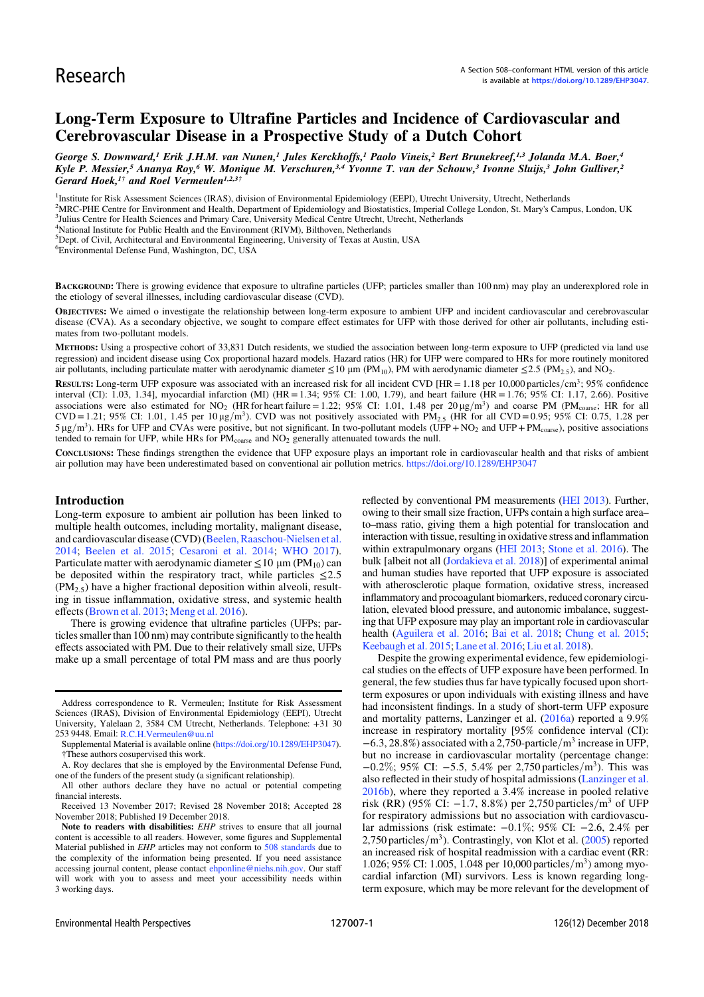# Long-Term Exposure to Ultrafine Particles and Incidence of Cardiovascular and Cerebrovascular Disease in a Prospective Study of a Dutch Cohort

George S. Downward,<sup>1</sup> Erik J.H.M. van Nunen,<sup>1</sup> Jules Kerckhoffs,<sup>1</sup> Paolo Vineis,<sup>2</sup> Bert Brunekreef,<sup>1,3</sup> Jolanda M.A. Boer,<sup>4</sup> Kyle P. Messier,<sup>5</sup> Ananya Roy,<sup>6</sup> W. Monique M. Verschuren,<sup>3,4</sup> Yvonne T. van der Schouw,<sup>3</sup> Ivonne Sluijs,<sup>3</sup> John Gulliver,<sup>2</sup> Gerard Hoek,<sup>1†</sup> and Roel Vermeulen<sup>1,2,3†</sup>

<sup>1</sup>Institute for Risk Assessment Sciences (IRAS), division of Environmental Epidemiology (EEPI), Utrecht University, Utrecht, Netherlands

<sup>2</sup>MRC-PHE Centre for Environment and Health, Department of Epidemiology and Biostatistics, Imperial College London, St. Mary's Campus, London, UK <sup>3</sup>Julius Centre for Health Sciences and Primary Care, University Medical Centre Utrecht, Utrecht, Netherlands

<sup>4</sup>National Institute for Public Health and the Environment (RIVM), Bilthoven, Netherlands

<sup>5</sup>Dept. of Civil, Architectural and Environmental Engineering, University of Texas at Austin, USA

6 Environmental Defense Fund, Washington, DC, USA

BACKGROUND: There is growing evidence that exposure to ultrafine particles (UFP; particles smaller than 100 nm) may play an underexplored role in the etiology of several illnesses, including cardiovascular disease (CVD).

OBJECTIVES: We aimed o investigate the relationship between long-term exposure to ambient UFP and incident cardiovascular and cerebrovascular disease (CVA). As a secondary objective, we sought to compare effect estimates for UFP with those derived for other air pollutants, including estimates from two-pollutant models.

METHODS: Using a prospective cohort of 33,831 Dutch residents, we studied the association between long-term exposure to UFP (predicted via land use regression) and incident disease using Cox proportional hazard models. Hazard ratios (HR) for UFP were compared to HRs for more routinely monitored air pollutants, including particulate matter with aerodynamic diameter  $\leq 10 \mu m (PM_{10})$ , PM with aerodynamic diameter  $\leq 2.5 (PM_{2.5})$ , and NO<sub>2</sub>.

**RESULTS:** Long-term UFP exposure was associated with an increased risk for all incident CVD [HR = 1.18 per 10,000 particles/cm<sup>3</sup>; 95% confidence interval (CI): 1.03, 1.34], myocardial infarction (MI) (HR = 1:34; 95% CI: 1.00, 1.79), and heart failure (HR = 1:76; 95% CI: 1.17, 2.66). Positive associations were also estimated for NO<sub>2</sub> (HR for heart failure = 1.22; 95% CI: 1.01, 1.48 per 20  $\mu$ g/m<sup>3</sup>) and coarse PM (PM<sub>coarse</sub>; HR for all  $CVD = 1.21$ ; 95% CI: 1.01, 1.45 per  $10 \mu g/m^3$ ). CVD was not positively associated with PM<sub>2.5</sub> (HR for all CVD = 0.95; 95% CI: 0.75, 1.28 per  $5 \mu$ g/m<sup>3</sup>). HRs for UFP and CVAs were positive, but not significant. In two-pollutant models (UFP + NO<sub>2</sub> and UFP + PM<sub>coarse</sub>), positive associations tended to remain for UFP, while HRs for  $PM_{coarse}$  and  $NO<sub>2</sub>$  generally attenuated towards the null.

CONCLUSIONS: These findings strengthen the evidence that UFP exposure plays an important role in cardiovascular health and that risks of ambient air pollution may have been underestimated based on conventional air pollution metrics. https://doi.org/10.1289/EHP3047

#### Introduction

Long-term exposure to ambient air pollution has been linked to multiple health outcomes, including mortality, malignant disease, and cardiovascular disease (CVD) (Beelen, Raaschou-Nielsen et al. 2014; Beelen et al. 2015; Cesaroni et al. 2014; WHO 2017). Particulate matter with aerodynamic diameter  $\leq 10 \mu m (PM_{10})$  can be deposited within the respiratory tract, while particles  $\leq 2.5$  $(PM<sub>2.5</sub>)$  have a higher fractional deposition within alveoli, resulting in tissue inflammation, oxidative stress, and systemic health effects (Brown et al. 2013; Meng et al. 2016).

There is growing evidence that ultrafine particles (UFPs; particles smaller than  $100$  nm) may contribute significantly to the health effects associated with PM. Due to their relatively small size, UFPs make up a small percentage of total PM mass and are thus poorly

All other authors declare they have no actual or potential competing financial interests.

reflected by conventional PM measurements (HEI 2013). Further, owing to their small size fraction, UFPs contain a high surface area– to–mass ratio, giving them a high potential for translocation and interaction with tissue, resulting in oxidative stress and inflammation within extrapulmonary organs (HEI 2013; Stone et al. 2016). The bulk [albeit not all (Jordakieva et al. 2018)] of experimental animal and human studies have reported that UFP exposure is associated with atherosclerotic plaque formation, oxidative stress, increased inflammatory and procoagulant biomarkers, reduced coronary circulation, elevated blood pressure, and autonomic imbalance, suggesting that UFP exposure may play an important role in cardiovascular health (Aguilera et al. 2016; Bai et al. 2018; Chung et al. 2015; Keebaugh et al. 2015; Lane et al. 2016; Liu et al. 2018).

Despite the growing experimental evidence, few epidemiological studies on the effects of UFP exposure have been performed. In general, the few studies thus far have typically focused upon shortterm exposures or upon individuals with existing illness and have had inconsistent findings. In a study of short-term UFP exposure and mortality patterns, Lanzinger et al. (2016a) reported a 9.9% increase in respiratory mortality [95% confidence interval (CI):  $-6.3$ , 28.8%) associated with a 2,750-particle/m<sup>3</sup> increase in UFP, but no increase in cardiovascular mortality (percentage change:  $-0.2\%$ ; 95% CI:  $-5.5$ , 5.4% per 2,750 particles/m<sup>3</sup>). This was also reflected in their study of hospital admissions (Lanzinger et al. 2016b), where they reported a 3.4% increase in pooled relative risk (RR) (95% CI:  $-1.7$ , 8.8%) per 2,750 particles/m<sup>3</sup> of UFP for respiratory admissions but no association with cardiovascular admissions (risk estimate: −0:1%; 95% CI: −2:6, 2.4% per 2,750 particles/ $\rm m^3$ ). Contrastingly, von Klot et al. (2005) reported an increased risk of hospital readmission with a cardiac event (RR: 1.026; 95% CI: 1.005, 1.048 per 10,000 particles/ $m<sup>3</sup>$ ) among myocardial infarction (MI) survivors. Less is known regarding longterm exposure, which may be more relevant for the development of

Address correspondence to R. Vermeulen; Institute for Risk Assessment Sciences (IRAS), Division of Environmental Epidemiology (EEPI), Utrecht University, Yalelaan 2, 3584 CM Utrecht, Netherlands. Telephone: +31 30 253 9448. Email: R.C.H.Vermeulen@uu.nl

Supplemental Material is available online (https://doi.org/10.1289/EHP3047). †These authors cosupervised this work.

A. Roy declares that she is employed by the Environmental Defense Fund, one of the funders of the present study (a significant relationship).

Received 13 November 2017; Revised 28 November 2018; Accepted 28 November 2018; Published 19 December 2018.

Note to readers with disabilities: EHP strives to ensure that all journal content is accessible to all readers. However, some figures and Supplemental Material published in *EHP* articles may not conform to 508 standards due to the complexity of the information being presented. If you need assistance accessing journal content, please contact ehponline@niehs.nih.gov. Our staff will work with you to assess and meet your accessibility needs within 3 working days.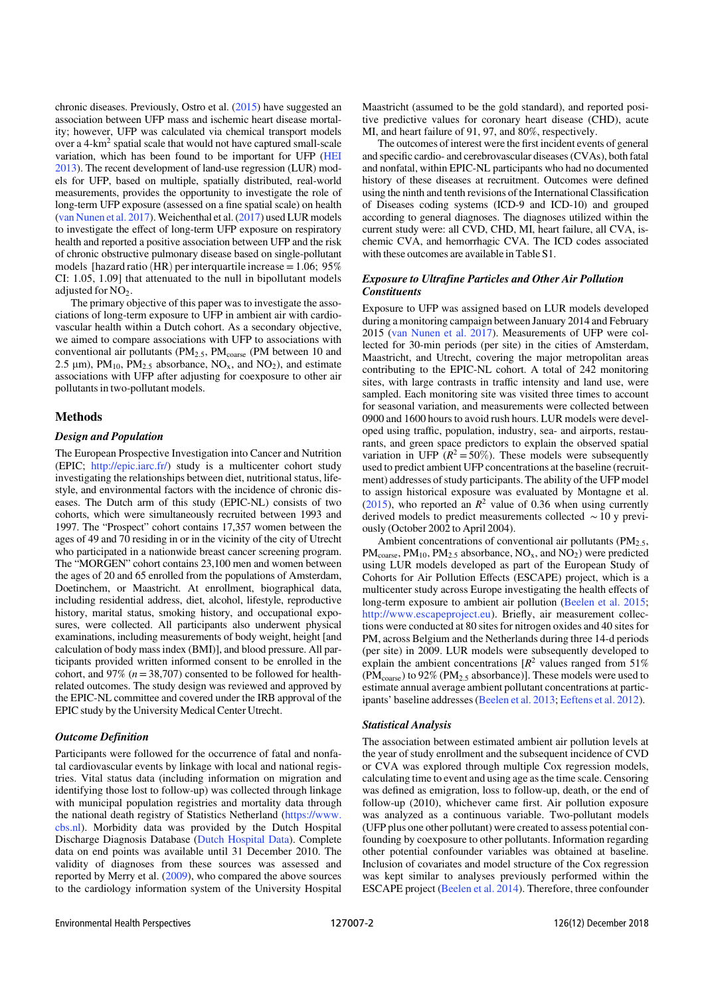chronic diseases. Previously, Ostro et al. (2015) have suggested an association between UFP mass and ischemic heart disease mortality; however, UFP was calculated via chemical transport models over a  $4\text{-}km^2$  spatial scale that would not have captured small-scale variation, which has been found to be important for UFP (HEI 2013). The recent development of land-use regression (LUR) models for UFP, based on multiple, spatially distributed, real-world measurements, provides the opportunity to investigate the role of long-term UFP exposure (assessed on a fine spatial scale) on health (van Nunen et al. 2017).Weichenthal et al. (2017) used LUR models to investigate the effect of long-term UFP exposure on respiratory health and reported a positive association between UFP and the risk of chronic obstructive pulmonary disease based on single-pollutant models [hazard ratio  $(HR)$  per interquartile increase = 1.06; 95% CI: 1.05, 1.09] that attenuated to the null in bipollutant models adjusted for NO<sub>2</sub>.

The primary objective of this paper was to investigate the associations of long-term exposure to UFP in ambient air with cardiovascular health within a Dutch cohort. As a secondary objective, we aimed to compare associations with UFP to associations with conventional air pollutants ( $PM_{2.5}$ ,  $PM_{coarse}$  ( $PM$  between 10 and 2.5  $\mu$ m), PM<sub>10</sub>, PM<sub>2.5</sub> absorbance, NO<sub>x</sub>, and NO<sub>2</sub>), and estimate associations with UFP after adjusting for coexposure to other air pollutants in two-pollutant models.

## Methods

## Design and Population

The European Prospective Investigation into Cancer and Nutrition (EPIC; http://epic.iarc.fr/) study is a multicenter cohort study investigating the relationships between diet, nutritional status, lifestyle, and environmental factors with the incidence of chronic diseases. The Dutch arm of this study (EPIC-NL) consists of two cohorts, which were simultaneously recruited between 1993 and 1997. The "Prospect" cohort contains 17,357 women between the ages of 49 and 70 residing in or in the vicinity of the city of Utrecht who participated in a nationwide breast cancer screening program. The "MORGEN" cohort contains 23,100 men and women between the ages of 20 and 65 enrolled from the populations of Amsterdam, Doetinchem, or Maastricht. At enrollment, biographical data, including residential address, diet, alcohol, lifestyle, reproductive history, marital status, smoking history, and occupational exposures, were collected. All participants also underwent physical examinations, including measurements of body weight, height [and calculation of body mass index (BMI)], and blood pressure. All participants provided written informed consent to be enrolled in the cohort, and  $97\%$  ( $n = 38,707$ ) consented to be followed for healthrelated outcomes. The study design was reviewed and approved by the EPIC-NL committee and covered under the IRB approval of the EPIC study by the University Medical Center Utrecht.

#### Outcome Definition

Participants were followed for the occurrence of fatal and nonfatal cardiovascular events by linkage with local and national registries. Vital status data (including information on migration and identifying those lost to follow-up) was collected through linkage with municipal population registries and mortality data through the national death registry of Statistics Netherland (https://www. cbs.nl). Morbidity data was provided by the Dutch Hospital Discharge Diagnosis Database (Dutch Hospital Data). Complete data on end points was available until 31 December 2010. The validity of diagnoses from these sources was assessed and reported by Merry et al. (2009), who compared the above sources to the cardiology information system of the University Hospital Maastricht (assumed to be the gold standard), and reported positive predictive values for coronary heart disease (CHD), acute MI, and heart failure of 91, 97, and 80%, respectively.

The outcomes of interest were the first incident events of general and specific cardio- and cerebrovascular diseases (CVAs), both fatal and nonfatal, within EPIC-NL participants who had no documented history of these diseases at recruitment. Outcomes were defined using the ninth and tenth revisions of the International Classification of Diseases coding systems (ICD-9 and ICD-10) and grouped according to general diagnoses. The diagnoses utilized within the current study were: all CVD, CHD, MI, heart failure, all CVA, ischemic CVA, and hemorrhagic CVA. The ICD codes associated with these outcomes are available in Table S1.

## Exposure to Ultrafine Particles and Other Air Pollution **Constituents**

Exposure to UFP was assigned based on LUR models developed during a monitoring campaign between January 2014 and February 2015 (van Nunen et al. 2017). Measurements of UFP were collected for 30-min periods (per site) in the cities of Amsterdam, Maastricht, and Utrecht, covering the major metropolitan areas contributing to the EPIC-NL cohort. A total of 242 monitoring sites, with large contrasts in traffic intensity and land use, were sampled. Each monitoring site was visited three times to account for seasonal variation, and measurements were collected between 0900 and 1600 hours to avoid rush hours. LUR models were developed using traffic, population, industry, sea- and airports, restaurants, and green space predictors to explain the observed spatial variation in UFP  $(R^2 = 50\%)$ . These models were subsequently used to predict ambient UFP concentrations at the baseline (recruitment) addresses of study participants. The ability of the UFP model to assign historical exposure was evaluated by Montagne et al.  $(2015)$ , who reported an  $R^2$  value of 0.36 when using currently derived models to predict measurements collected ∼10 y previously (October 2002 to April 2004).

Ambient concentrations of conventional air pollutants ( $PM_{2.5}$ ,  $PM_{coarse}$ ,  $PM_{10}$ ,  $PM_{2.5}$  absorbance,  $NO_x$ , and  $NO_2$ ) were predicted using LUR models developed as part of the European Study of Cohorts for Air Pollution Effects (ESCAPE) project, which is a multicenter study across Europe investigating the health effects of long-term exposure to ambient air pollution (Beelen et al. 2015; http://www.escapeproject.eu). Briefly, air measurement collections were conducted at 80 sites for nitrogen oxides and 40 sites for PM, across Belgium and the Netherlands during three 14-d periods (per site) in 2009. LUR models were subsequently developed to explain the ambient concentrations  $[R^2$  values ranged from 51%  $(\overrightarrow{PM}_{coarse})$  to 92%  $(\overrightarrow{PM}_{2.5}$  absorbance)]. These models were used to estimate annual average ambient pollutant concentrations at participants' baseline addresses (Beelen et al. 2013; Eeftens et al. 2012).

## Statistical Analysis

The association between estimated ambient air pollution levels at the year of study enrollment and the subsequent incidence of CVD or CVA was explored through multiple Cox regression models, calculating time to event and using age as the time scale. Censoring was defined as emigration, loss to follow-up, death, or the end of follow-up (2010), whichever came first. Air pollution exposure was analyzed as a continuous variable. Two-pollutant models (UFP plus one other pollutant) were created to assess potential confounding by coexposure to other pollutants. Information regarding other potential confounder variables was obtained at baseline. Inclusion of covariates and model structure of the Cox regression was kept similar to analyses previously performed within the ESCAPE project (Beelen et al. 2014). Therefore, three confounder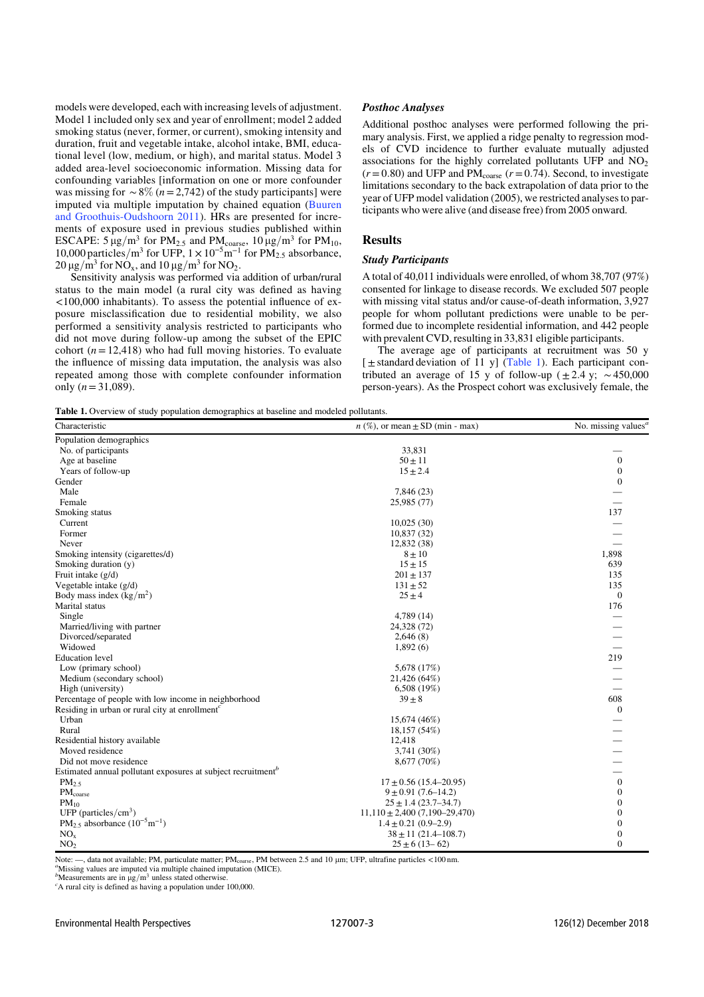models were developed, each with increasing levels of adjustment. Model 1 included only sex and year of enrollment; model 2 added smoking status (never, former, or current), smoking intensity and duration, fruit and vegetable intake, alcohol intake, BMI, educational level (low, medium, or high), and marital status. Model 3 added area-level socioeconomic information. Missing data for confounding variables [information on one or more confounder was missing for  $\sim 8\%$  (*n* = 2,742) of the study participants] were imputed via multiple imputation by chained equation (Buuren and Groothuis-Oudshoorn 2011). HRs are presented for increments of exposure used in previous studies published within ESCAPE:  $5 \mu g/m^3$  for PM<sub>2.5</sub> and PM<sub>coarse</sub>,  $10 \mu g/m^3$  for PM<sub>10</sub>, 10,000 particles/m<sup>3</sup> for UFP,  $1 \times 10^{-5}$ m<sup>-1</sup> for PM<sub>2.5</sub> absorbance,  $20 \,\mathrm{\mu g/m^3}$  for NO<sub>x</sub>, and  $10 \,\mathrm{\mu g/m^3}$  for NO<sub>2</sub>.

Sensitivity analysis was performed via addition of urban/rural status to the main model (a rural city was defined as having <100,000 inhabitants). To assess the potential influence of exposure misclassification due to residential mobility, we also performed a sensitivity analysis restricted to participants who did not move during follow-up among the subset of the EPIC cohort ( $n = 12,418$ ) who had full moving histories. To evaluate the influence of missing data imputation, the analysis was also repeated among those with complete confounder information only  $(n = 31,089)$ .

#### Posthoc Analyses

Additional posthoc analyses were performed following the primary analysis. First, we applied a ridge penalty to regression models of CVD incidence to further evaluate mutually adjusted associations for the highly correlated pollutants UFP and NO<sub>2</sub>  $(r=0.80)$  and UFP and PM<sub>coarse</sub>  $(r=0.74)$ . Second, to investigate limitations secondary to the back extrapolation of data prior to the year of UFP model validation (2005), we restricted analyses to participants who were alive (and disease free) from 2005 onward.

## Results

## Study Participants

A total of 40,011 individuals were enrolled, of whom 38,707 (97%) consented for linkage to disease records. We excluded 507 people with missing vital status and/or cause-of-death information, 3,927 people for whom pollutant predictions were unable to be performed due to incomplete residential information, and 442 people with prevalent CVD, resulting in 33,831 eligible participants.

The average age of participants at recruitment was 50 y  $[\pm$  standard deviation of 11 y] (Table 1). Each participant contributed an average of 15 y of follow-up ( $\pm 2.4$  y; ~450,000 person-years). As the Prospect cohort was exclusively female, the

Table 1. Overview of study population demographics at b

| Characteristic                                                           | $n$ (%), or mean $\pm$ SD (min - max) | No. missing values $a$   |
|--------------------------------------------------------------------------|---------------------------------------|--------------------------|
| Population demographics                                                  |                                       |                          |
| No. of participants                                                      | 33,831                                |                          |
| Age at baseline                                                          | $50 \pm 11$                           | $\mathbf{0}$             |
| Years of follow-up                                                       | $15 \pm 2.4$                          | $\mathbf{0}$             |
| Gender                                                                   |                                       | $\boldsymbol{0}$         |
| Male                                                                     | 7,846 (23)                            |                          |
| Female                                                                   | 25,985 (77)                           |                          |
| Smoking status                                                           |                                       | 137                      |
| Current                                                                  | 10,025(30)                            |                          |
| Former                                                                   | 10,837(32)                            |                          |
| Never                                                                    | 12,832 (38)                           | $\overline{\phantom{0}}$ |
| Smoking intensity (cigarettes/d)                                         | $8 \pm 10$                            | 1,898                    |
| Smoking duration (y)                                                     | $15 \pm 15$                           | 639                      |
| Fruit intake $(g/d)$                                                     | $201 \pm 137$                         | 135                      |
| Vegetable intake (g/d)                                                   | $131 \pm 52$                          | 135                      |
| Body mass index $(kg/m2)$                                                | $25 \pm 4$                            | $\mathbf{0}$             |
| Marital status                                                           |                                       | 176                      |
| Single                                                                   | 4,789 (14)                            |                          |
| Married/living with partner                                              | 24,328 (72)                           |                          |
| Divorced/separated                                                       | 2,646(8)                              |                          |
| Widowed                                                                  | 1,892(6)                              |                          |
| <b>Education</b> level                                                   |                                       | 219                      |
| Low (primary school)                                                     | 5,678 (17%)                           |                          |
| Medium (secondary school)                                                | 21,426 (64%)                          |                          |
| High (university)                                                        | 6,508(19%)                            | $\overline{\phantom{0}}$ |
| Percentage of people with low income in neighborhood                     | $39 \pm 8$                            | 608                      |
| Residing in urban or rural city at enrollment <sup>c</sup>               |                                       | $\bf{0}$                 |
| Urban                                                                    | 15,674 (46%)                          |                          |
| Rural                                                                    | 18,157 (54%)                          |                          |
| Residential history available                                            | 12,418                                |                          |
| Moved residence                                                          | 3,741 (30%)                           |                          |
| Did not move residence                                                   | 8,677 (70%)                           |                          |
| Estimated annual pollutant exposures at subject recruitment <sup>b</sup> |                                       |                          |
| PM <sub>25</sub>                                                         | $17 \pm 0.56$ (15.4–20.95)            | $\mathbf{0}$             |
| $\mathrm{PM}_\mathrm{coarse}$                                            | $9 \pm 0.91(7.6 - 14.2)$              | $\mathbf{0}$             |
| $PM_{10}$                                                                | $25 \pm 1.4$ (23.7–34.7)              | $\mathbf{0}$             |
| UFP (particles/ $\rm cm^3$ )                                             | $11,110 \pm 2,400$ (7,190-29,470)     | $\Omega$                 |
| PM <sub>2.5</sub> absorbance $(10^{-5} \text{m}^{-1})$                   | $1.4 \pm 0.21$ (0.9–2.9)              | $\mathbf{0}$             |
| NO <sub>x</sub>                                                          | $38 \pm 11$ (21.4-108.7)              | $\mathbf{0}$             |
| NO <sub>2</sub>                                                          | $25 \pm 6$ (13-62)                    | $\theta$                 |

Note:  $-$ , data not available; PM, particulate matter; PM<sub>coarse</sub>, PM between 2.5 and 10 µm; UFP, ultrafine particles <100 nm.

<sup>a</sup>Missing values are imputed via multiple chained imputation (MICE).

Measurements are in  $\mu\sigma/m^3$  unless stated otherwise.

<sup>c</sup>A rural city is defined as having a population under 100,000.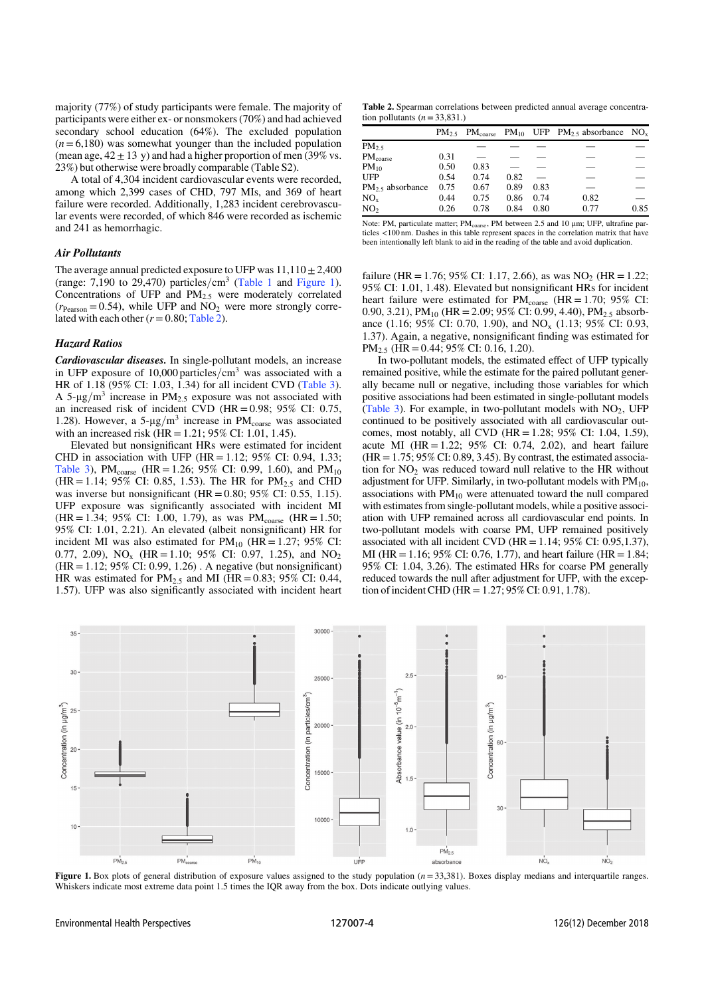majority (77%) of study participants were female. The majority of participants were either ex- or nonsmokers (70%) and had achieved secondary school education (64%). The excluded population  $(n= 6,180)$  was somewhat younger than the included population (mean age,  $42 \pm 13$  y) and had a higher proportion of men (39% vs. 23%) but otherwise were broadly comparable (Table S2).

A total of 4,304 incident cardiovascular events were recorded, among which 2,399 cases of CHD, 797 MIs, and 369 of heart failure were recorded. Additionally, 1,283 incident cerebrovascular events were recorded, of which 846 were recorded as ischemic and 241 as hemorrhagic.

## Air Pollutants

The average annual predicted exposure to UFP was  $11,110 \pm 2,400$ (range: 7,190 to 29,470) particles/cm<sup>3</sup> (Table 1 and Figure 1). Concentrations of UFP and  $PM<sub>2.5</sub>$  were moderately correlated  $(r_{Pearson} = 0.54)$ , while UFP and NO<sub>2</sub> were more strongly correlated with each other  $(r = 0.80;$  Table 2).

#### Hazard Ratios

Cardiovascular diseases. In single-pollutant models, an increase in UFP exposure of 10,000 particles/ $\rm cm^3$  was associated with a HR of 1.18 (95% CI: 1.03, 1.34) for all incident CVD (Table 3). A 5- $\mu$ g/m<sup>3</sup> increase in PM<sub>2.5</sub> exposure was not associated with an increased risk of incident CVD ( $HR = 0.98$ ; 95% CI: 0.75, 1.28). However, a  $5-\mu g/m^3$  increase in PM<sub>coarse</sub> was associated with an increased risk (HR =  $1.21$ ; 95% CI: 1.01, 1.45).

Elevated but nonsignificant HRs were estimated for incident CHD in association with UFP (HR = 1.12;  $95\%$  CI: 0.94, 1.33; Table 3), PM<sub>coarse</sub> (HR = 1.26; 95% CI: 0.99, 1.60), and PM<sub>10</sub>  $(HR = 1.14; 95\% \text{ CI: } 0.85, 1.53)$ . The HR for PM<sub>2.5</sub> and CHD was inverse but nonsignificant (HR =  $0.80$ ; 95% CI: 0.55, 1.15). UFP exposure was significantly associated with incident MI  $(HR = 1.34; 95\% \text{ CI: } 1.00, 1.79)$ , as was PM<sub>coarse</sub>  $(HR = 1.50;$ 95% CI: 1.01, 2.21). An elevated (albeit nonsignificant) HR for incident MI was also estimated for  $PM_{10}$  (HR = 1.27; 95% CI: 0.77, 2.09),  $NO_x$  (HR = 1.10; 95% CI: 0.97, 1.25), and  $NO_2$  $(HR = 1.12; 95\% CI: 0.99, 1.26)$ . A negative (but nonsignificant) HR was estimated for PM<sub>2.5</sub> and MI (HR = 0.83; 95% CI: 0.44, 1.57). UFP was also significantly associated with incident heart

Table 2. Spearman correlations between predicted annual average concentration pollutants ( $n = 33,831$ .)

|                      | $PM_2$ | $PM_{\text{coarse}}$ |      |      | $PM_{10}$ UFP $PM_2$ s absorbance $NO_x$ |      |
|----------------------|--------|----------------------|------|------|------------------------------------------|------|
| $PM_2$               |        |                      |      |      |                                          |      |
| $PM_{\text{coarse}}$ | 0.31   |                      |      |      |                                          |      |
| $PM_{10}$            | 0.50   | 0.83                 |      |      |                                          |      |
| UFP                  | 0.54   | 0.74                 | 0.82 |      |                                          |      |
| $PM_2$ s absorbance  | 0.75   | 0.67                 | 0.89 | 0.83 |                                          |      |
| NO <sub>x</sub>      | 0.44   | 0.75                 | 0.86 | 0.74 | 0.82                                     |      |
| NO <sub>2</sub>      | 0.26   | 0.78                 | 0.84 | 0.80 | 0.77                                     | 0.85 |

Note: PM, particulate matter; PM<sub>coarse</sub>, PM between 2.5 and 10 µm; UFP, ultrafine particles <100 nm. Dashes in this table represent spaces in the correlation matrix that have been intentionally left blank to aid in the reading of the table and avoid duplication.

failure (HR = 1.76; 95% CI: 1.17, 2.66), as was NO<sub>2</sub> (HR = 1.22; 95% CI: 1.01, 1.48). Elevated but nonsignificant HRs for incident heart failure were estimated for  $PM_{coarse}$  (HR = 1.70; 95% CI: 0.90, 3.21), PM<sub>10</sub> (HR = 2.09; 95% CI: 0.99, 4.40), PM<sub>2.5</sub> absorbance (1.16; 95% CI: 0.70, 1.90), and  $NO_x$  (1.13; 95% CI: 0.93, 1.37). Again, a negative, nonsignificant finding was estimated for  $PM_{2.5}$  (HR = 0.44; 95% CI: 0.16, 1.20).

In two-pollutant models, the estimated effect of UFP typically remained positive, while the estimate for the paired pollutant generally became null or negative, including those variables for which positive associations had been estimated in single-pollutant models (Table 3). For example, in two-pollutant models with  $NO<sub>2</sub>$ , UFP continued to be positively associated with all cardiovascular outcomes, most notably, all CVD (HR = 1:28; 95% CI: 1.04, 1.59), acute MI ( $HR = 1.22$ ; 95% CI: 0.74, 2.02), and heart failure  $(HR = 1.75; 95\% \text{ CI: } 0.89, 3.45)$ . By contrast, the estimated association for NO<sub>2</sub> was reduced toward null relative to the HR without adjustment for UFP. Similarly, in two-pollutant models with  $PM_{10}$ , associations with  $PM_{10}$  were attenuated toward the null compared with estimates from single-pollutant models, while a positive association with UFP remained across all cardiovascular end points. In two-pollutant models with coarse PM, UFP remained positively associated with all incident CVD ( $HR = 1.14$ ; 95% CI: 0.95,1.37), MI (HR = 1.16; 95% CI: 0.76, 1.77), and heart failure (HR = 1.84; 95% CI: 1.04, 3.26). The estimated HRs for coarse PM generally reduced towards the null after adjustment for UFP, with the exception of incident CHD (HR = 1.27; 95% CI: 0.91, 1.78).



Figure 1. Box plots of general distribution of exposure values assigned to the study population  $(n=33,381)$ . Boxes display medians and interquartile ranges. Whiskers indicate most extreme data point 1.5 times the IQR away from the box. Dots indicate outlying values.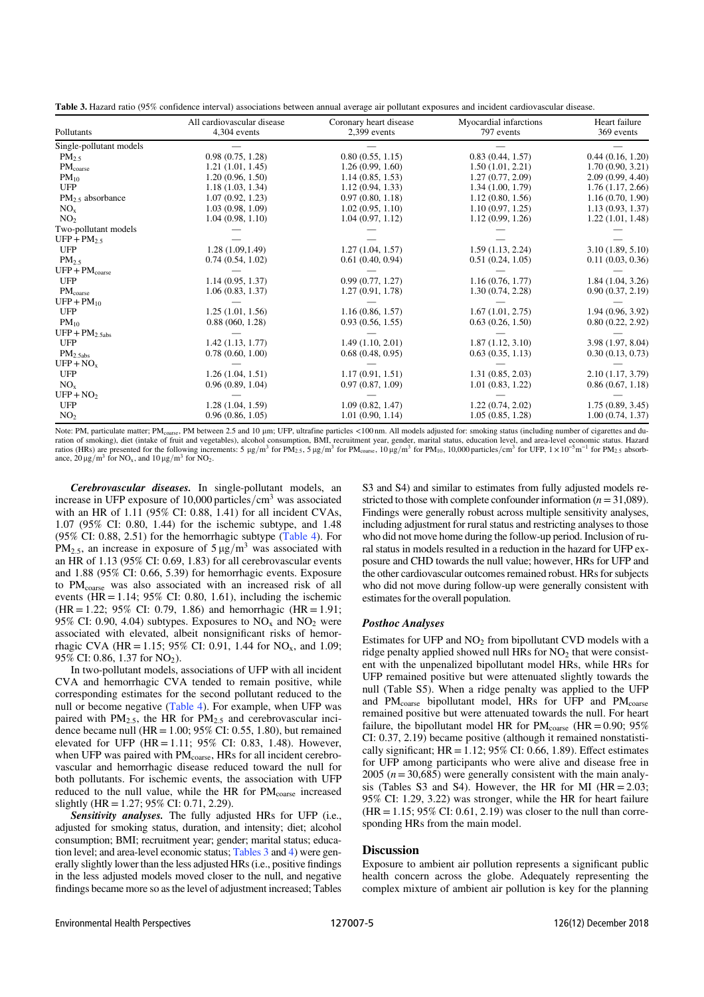| <b>Table 3.</b> Hazard ratio (95% confidence interval) associations between annual average air pollutant exposures and incident cardiovascular disease. |  |  |  |  |
|---------------------------------------------------------------------------------------------------------------------------------------------------------|--|--|--|--|
|---------------------------------------------------------------------------------------------------------------------------------------------------------|--|--|--|--|

|                         | All cardiovascular disease | Coronary heart disease | Myocardial infarctions | Heart failure     |
|-------------------------|----------------------------|------------------------|------------------------|-------------------|
| Pollutants              | 4,304 events               | $2,399$ events         | 797 events             | 369 events        |
| Single-pollutant models |                            |                        |                        |                   |
| $PM_{2.5}$              | 0.98(0.75, 1.28)           | 0.80(0.55, 1.15)       | 0.83(0.44, 1.57)       | 0.44(0.16, 1.20)  |
| $PM_{\text{coarse}}$    | 1.21(1.01, 1.45)           | 1.26(0.99, 1.60)       | 1.50(1.01, 2.21)       | 1.70(0.90, 3.21)  |
| $PM_{10}$               | 1.20(0.96, 1.50)           | 1.14(0.85, 1.53)       | 1.27(0.77, 2.09)       | 2.09(0.99, 4.40)  |
| <b>UFP</b>              | 1.18(1.03, 1.34)           | 1.12(0.94, 1.33)       | 1.34(1.00, 1.79)       | 1.76(1.17, 2.66)  |
| $PM_2$ s absorbance     | 1.07(0.92, 1.23)           | 0.97(0.80, 1.18)       | 1.12(0.80, 1.56)       | 1.16(0.70, 1.90)  |
| NO <sub>x</sub>         | 1.03(0.98, 1.09)           | 1.02(0.95, 1.10)       | 1.10(0.97, 1.25)       | 1.13(0.93, 1.37)  |
| NO <sub>2</sub>         | 1.04(0.98, 1.10)           | 1.04(0.97, 1.12)       | 1.12(0.99, 1.26)       | 1.22(1.01, 1.48)  |
| Two-pollutant models    |                            |                        |                        |                   |
| UFP + PM <sub>2.5</sub> |                            |                        |                        |                   |
| <b>UFP</b>              | 1.28(1.09, 1.49)           | 1.27(1.04, 1.57)       | 1.59(1.13, 2.24)       | 3.10(1.89, 5.10)  |
| $PM_{2.5}$              | 0.74(0.54, 1.02)           | 0.61(0.40, 0.94)       | 0.51(0.24, 1.05)       | 0.11(0.03, 0.36)  |
| $UFP + PM_{coarse}$     |                            |                        |                        |                   |
| <b>UFP</b>              | 1.14(0.95, 1.37)           | 0.99(0.77, 1.27)       | 1.16(0.76, 1.77)       | 1.84(1.04, 3.26)  |
| $PM_{\text{coarse}}$    | 1.06(0.83, 1.37)           | 1.27(0.91, 1.78)       | 1.30(0.74, 2.28)       | 0.90(0.37, 2.19)  |
| $UFP + PM_{10}$         |                            |                        |                        |                   |
| <b>UFP</b>              | 1.25(1.01, 1.56)           | 1.16(0.86, 1.57)       | 1.67(1.01, 2.75)       | 1.94(0.96, 3.92)  |
| $PM_{10}$               | 0.88(060, 1.28)            | 0.93(0.56, 1.55)       | 0.63(0.26, 1.50)       | 0.80(0.22, 2.92)  |
| $UFP + PM_{2.5abs}$     |                            |                        |                        |                   |
| <b>UFP</b>              | 1.42(1.13, 1.77)           | 1.49(1.10, 2.01)       | 1.87(1.12, 3.10)       | 3.98 (1.97, 8.04) |
| PM <sub>2.5abs</sub>    | 0.78(0.60, 1.00)           | 0.68(0.48, 0.95)       | 0.63(0.35, 1.13)       | 0.30(0.13, 0.73)  |
| $UFP + NOx$             |                            |                        |                        |                   |
| <b>UFP</b>              | 1.26(1.04, 1.51)           | 1.17(0.91, 1.51)       | 1.31(0.85, 2.03)       | 2.10(1.17, 3.79)  |
| NO <sub>x</sub>         | 0.96(0.89, 1.04)           | 0.97(0.87, 1.09)       | 1.01(0.83, 1.22)       | 0.86(0.67, 1.18)  |
| $UFP + NO2$             |                            |                        |                        |                   |
| <b>UFP</b>              | 1.28(1.04, 1.59)           | 1.09(0.82, 1.47)       | 1.22(0.74, 2.02)       | 1.75(0.89, 3.45)  |
| NO <sub>2</sub>         | 0.96(0.86, 1.05)           | 1.01(0.90, 1.14)       | 1.05(0.85, 1.28)       | 1.00(0.74, 1.37)  |

Note: PM, particulate matter; PM<sub>coarse</sub>, PM between 2.5 and 10 µm; UFP, ultrafine particles <100 nm. All models adjusted for: smoking status (including number of cigarettes and duration of smoking), diet (intake of fruit and vegetables), alcohol consumption, BMI, recruitment year, gender, marital status, education level, and area-level economic status. Hazard<br>ratios (HRs) are presented for the foll ance,  $20 \mu g/m^3$  for NO<sub>x</sub>, and  $10 \mu g/m^3$  for NO<sub>2</sub>.

Cerebrovascular diseases. In single-pollutant models, an increase in UFP exposure of 10,000 particles/ $\rm cm^3$  was associated with an HR of 1.11 (95% CI: 0.88, 1.41) for all incident CVAs, 1.07 (95% CI: 0.80, 1.44) for the ischemic subtype, and 1.48 (95% CI: 0.88, 2.51) for the hemorrhagic subtype (Table 4). For  $PM_{2.5}$ , an increase in exposure of  $5 \mu g/m^3$  was associated with an HR of 1.13 (95% CI: 0.69, 1.83) for all cerebrovascular events and 1.88 (95% CI: 0.66, 5.39) for hemorrhagic events. Exposure to PM<sub>coarse</sub> was also associated with an increased risk of all events (HR =  $1.14$ ; 95% CI: 0.80, 1.61), including the ischemic  $(HR = 1.22; 95\% \text{ CI: } 0.79, 1.86)$  and hemorrhagic  $(HR = 1.91;$ 95% CI: 0.90, 4.04) subtypes. Exposures to  $NO_x$  and  $NO_2$  were associated with elevated, albeit nonsignificant risks of hemorrhagic CVA (HR = 1.15; 95% CI: 0.91, 1.44 for NO<sub>x</sub>, and 1.09; 95% CI: 0.86, 1.37 for  $NO<sub>2</sub>$ ).

In two-pollutant models, associations of UFP with all incident CVA and hemorrhagic CVA tended to remain positive, while corresponding estimates for the second pollutant reduced to the null or become negative (Table 4). For example, when UFP was paired with  $PM_{2.5}$ , the HR for  $PM_{2.5}$  and cerebrovascular incidence became null ( $HR = 1.00$ ; 95% CI: 0.55, 1.80), but remained elevated for UFP ( $HR = 1.11$ ; 95% CI: 0.83, 1.48). However, when UFP was paired with PMcoarse, HRs for all incident cerebrovascular and hemorrhagic disease reduced toward the null for both pollutants. For ischemic events, the association with UFP reduced to the null value, while the HR for PM<sub>coarse</sub> increased slightly (HR = 1.27; 95% CI: 0.71, 2.29).

Sensitivity analyses. The fully adjusted HRs for UFP (i.e., adjusted for smoking status, duration, and intensity; diet; alcohol consumption; BMI; recruitment year; gender; marital status; education level; and area-level economic status; Tables 3 and 4) were generally slightly lower than the less adjusted HRs (i.e., positive findings in the less adjusted models moved closer to the null, and negative findings became more so as the level of adjustment increased; Tables S3 and S4) and similar to estimates from fully adjusted models restricted to those with complete confounder information ( $n = 31,089$ ). Findings were generally robust across multiple sensitivity analyses, including adjustment for rural status and restricting analyses to those who did not move home during the follow-up period. Inclusion of rural status in models resulted in a reduction in the hazard for UFP exposure and CHD towards the null value; however, HRs for UFP and the other cardiovascular outcomes remained robust. HRs for subjects who did not move during follow-up were generally consistent with estimates for the overall population.

#### Posthoc Analyses

Estimates for UFP and  $NO<sub>2</sub>$  from bipollutant CVD models with a ridge penalty applied showed null  $\hat{HRs}$  for  $NO<sub>2</sub>$  that were consistent with the unpenalized bipollutant model HRs, while HRs for UFP remained positive but were attenuated slightly towards the null (Table S5). When a ridge penalty was applied to the UFP and PM<sub>coarse</sub> bipollutant model, HRs for UFP and PM<sub>coarse</sub> remained positive but were attenuated towards the null. For heart failure, the bipollutant model HR for  $PM_{\text{coarse}}$  (HR = 0.90; 95%) CI: 0.37, 2.19) became positive (although it remained nonstatistically significant;  $HR = 1.12$ ; 95% CI: 0.66, 1.89). Effect estimates for UFP among participants who were alive and disease free in 2005 ( $n = 30,685$ ) were generally consistent with the main analysis (Tables S3 and S4). However, the HR for MI ( $HR = 2.03$ ; 95% CI: 1.29, 3.22) was stronger, while the HR for heart failure  $(HR = 1.15; 95\% \text{ CI}$ : 0.61, 2.19) was closer to the null than corresponding HRs from the main model.

## **Discussion**

Exposure to ambient air pollution represents a significant public health concern across the globe. Adequately representing the complex mixture of ambient air pollution is key for the planning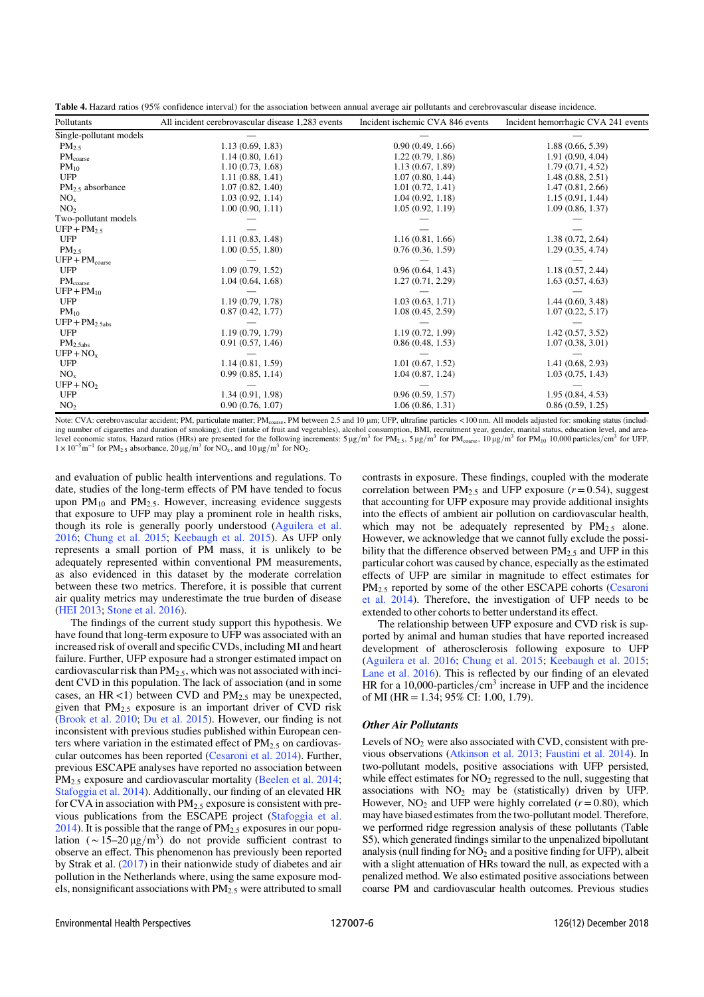|  |  | <b>Table 4.</b> Hazard ratios (95% confidence interval) for the association between annual average air pollutants and cerebrovascular disease incidence. |  |  |  |  |  |  |  |  |  |
|--|--|----------------------------------------------------------------------------------------------------------------------------------------------------------|--|--|--|--|--|--|--|--|--|
|--|--|----------------------------------------------------------------------------------------------------------------------------------------------------------|--|--|--|--|--|--|--|--|--|

| Pollutants              | All incident cerebrovascular disease 1,283 events | Incident ischemic CVA 846 events | Incident hemorrhagic CVA 241 events |
|-------------------------|---------------------------------------------------|----------------------------------|-------------------------------------|
| Single-pollutant models |                                                   |                                  |                                     |
| $PM_{2.5}$              | 1.13(0.69, 1.83)                                  | 0.90(0.49, 1.66)                 | 1.88(0.66, 5.39)                    |
| $PM_{\text{coarse}}$    | 1.14(0.80, 1.61)                                  | 1.22(0.79, 1.86)                 | 1.91(0.90, 4.04)                    |
| $PM_{10}$               | 1.10(0.73, 1.68)                                  | 1.13(0.67, 1.89)                 | 1.79(0.71, 4.52)                    |
| <b>UFP</b>              | 1.11(0.88, 1.41)                                  | 1.07(0.80, 1.44)                 | 1.48(0.88, 2.51)                    |
| $PM2.5$ absorbance      | 1.07(0.82, 1.40)                                  | 1.01(0.72, 1.41)                 | 1.47(0.81, 2.66)                    |
| NO <sub>x</sub>         | 1.03(0.92, 1.14)                                  | 1.04(0.92, 1.18)                 | 1.15(0.91, 1.44)                    |
| NO <sub>2</sub>         | 1.00(0.90, 1.11)                                  | 1.05(0.92, 1.19)                 | 1.09(0.86, 1.37)                    |
| Two-pollutant models    |                                                   |                                  |                                     |
| $UFP + PM_{2.5}$        |                                                   |                                  |                                     |
| <b>UFP</b>              | 1.11(0.83, 1.48)                                  | 1.16(0.81, 1.66)                 | 1.38(0.72, 2.64)                    |
| $PM_{2.5}$              | 1.00(0.55, 1.80)                                  | 0.76(0.36, 1.59)                 | 1.29(0.35, 4.74)                    |
| $UFP + PM_{coarse}$     |                                                   |                                  |                                     |
| <b>UFP</b>              | 1.09(0.79, 1.52)                                  | 0.96(0.64, 1.43)                 | 1.18(0.57, 2.44)                    |
| $PM_{\text{coarse}}$    | 1.04(0.64, 1.68)                                  | 1.27(0.71, 2.29)                 | 1.63(0.57, 4.63)                    |
| $UFP + PM_{10}$         |                                                   |                                  |                                     |
| <b>UFP</b>              | 1.19(0.79, 1.78)                                  | 1.03(0.63, 1.71)                 | 1.44(0.60, 3.48)                    |
| $PM_{10}$               | 0.87(0.42, 1.77)                                  | 1.08(0.45, 2.59)                 | 1.07(0.22, 5.17)                    |
| $UFP + PM_{2.5abs}$     |                                                   |                                  |                                     |
| <b>UFP</b>              | 1.19(0.79, 1.79)                                  | 1.19(0.72, 1.99)                 | 1.42(0.57, 3.52)                    |
| PM <sub>2.5abs</sub>    | 0.91(0.57, 1.46)                                  | 0.86(0.48, 1.53)                 | 1.07(0.38, 3.01)                    |
| $UFP + NOx$             |                                                   |                                  |                                     |
| <b>UFP</b>              | 1.14(0.81, 1.59)                                  | 1.01(0.67, 1.52)                 | 1.41(0.68, 2.93)                    |
| NO <sub>x</sub>         | 0.99(0.85, 1.14)                                  | 1.04(0.87, 1.24)                 | 1.03(0.75, 1.43)                    |
| $UFP + NO2$             |                                                   |                                  |                                     |
| <b>UFP</b>              | 1.34(0.91, 1.98)                                  | 0.96(0.59, 1.57)                 | 1.95(0.84, 4.53)                    |
| NO <sub>2</sub>         | 0.90(0.76, 1.07)                                  | 1.06(0.86, 1.31)                 | 0.86(0.59, 1.25)                    |

Note: CVA: cerebrovascular accident; PM, particulate matter; PM<sub>coarse</sub>, PM between 2.5 and 10 µm; UFP, ultrafine particles <100 nm. All models adjusted for: smoking status (including number of cigarettes and duration of smoking), diet (intake of fruit and vegetables), alcohol consumption, BMI, recruitment year, gender, marital status, education level, and area level economic status. Hazard ratios (HRs) are presented for the following increments:  $5 \mu g/m^3$  for  $PM_{2.5}$ ,  $5 \mu g/m^3$  for  $PM_{\text{coarse}}$ ,  $10 \mu g/m^3$  for  $PM_{10}$ ,  $10,000$  particles/cm<sup>3</sup> for UFP,  $1 \times 10^{-5}$  m<sup>-1</sup> for PM<sub>2.5</sub> absorbance, 20 µg/m<sup>3</sup> for NO<sub>x</sub>, and 10 µg/m<sup>3</sup> for NO<sub>2</sub>.

and evaluation of public health interventions and regulations. To date, studies of the long-term effects of PM have tended to focus upon  $PM_{10}$  and  $PM_{2.5}$ . However, increasing evidence suggests that exposure to UFP may play a prominent role in health risks, though its role is generally poorly understood (Aguilera et al. 2016; Chung et al. 2015; Keebaugh et al. 2015). As UFP only represents a small portion of PM mass, it is unlikely to be adequately represented within conventional PM measurements, as also evidenced in this dataset by the moderate correlation between these two metrics. Therefore, it is possible that current air quality metrics may underestimate the true burden of disease (HEI 2013; Stone et al. 2016).

The findings of the current study support this hypothesis. We have found that long-term exposure to UFP was associated with an increased risk of overall and specific CVDs, including MI and heart failure. Further, UFP exposure had a stronger estimated impact on cardiovascular risk than PM2:5, which was not associated with incident CVD in this population. The lack of association (and in some cases, an  $HR < 1$ ) between CVD and PM<sub>2.5</sub> may be unexpected, given that  $PM<sub>25</sub>$  exposure is an important driver of CVD risk (Brook et al. 2010; Du et al. 2015). However, our finding is not inconsistent with previous studies published within European centers where variation in the estimated effect of  $PM<sub>2.5</sub>$  on cardiovascular outcomes has been reported (Cesaroni et al. 2014). Further, previous ESCAPE analyses have reported no association between PM<sub>2.5</sub> exposure and cardiovascular mortality (Beelen et al. 2014; Stafoggia et al. 2014). Additionally, our finding of an elevated HR for CVA in association with  $PM<sub>2.5</sub>$  exposure is consistent with previous publications from the ESCAPE project (Stafoggia et al.  $2014$ ). It is possible that the range of  $PM_{2.5}$  exposures in our population ( $\sim 15-20 \,\mu$ g/m<sup>3</sup>) do not provide sufficient contrast to observe an effect. This phenomenon has previously been reported by Strak et al. (2017) in their nationwide study of diabetes and air pollution in the Netherlands where, using the same exposure models, nonsignificant associations with  $PM_{2.5}$  were attributed to small

contrasts in exposure. These findings, coupled with the moderate correlation between  $PM_{2.5}$  and UFP exposure ( $r = 0.54$ ), suggest that accounting for UFP exposure may provide additional insights into the effects of ambient air pollution on cardiovascular health, which may not be adequately represented by  $PM_{2.5}$  alone. However, we acknowledge that we cannot fully exclude the possibility that the difference observed between  $PM_{2.5}$  and UFP in this particular cohort was caused by chance, especially as the estimated effects of UFP are similar in magnitude to effect estimates for PM<sub>2.5</sub> reported by some of the other ESCAPE cohorts (Cesaroni et al. 2014). Therefore, the investigation of UFP needs to be extended to other cohorts to better understand its effect.

The relationship between UFP exposure and CVD risk is supported by animal and human studies that have reported increased development of atherosclerosis following exposure to UFP (Aguilera et al. 2016; Chung et al. 2015; Keebaugh et al. 2015; Lane et al. 2016). This is reflected by our finding of an elevated HR for a 10,000-particles/ $\text{cm}^3$  increase in UFP and the incidence of MI (HR =  $1.34$ ; 95% CI: 1.00, 1.79).

## Other Air Pollutants

Levels of  $NO<sub>2</sub>$  were also associated with CVD, consistent with previous observations (Atkinson et al. 2013; Faustini et al. 2014). In two-pollutant models, positive associations with UFP persisted, while effect estimates for  $NO<sub>2</sub>$  regressed to the null, suggesting that associations with  $NO<sub>2</sub>$  may be (statistically) driven by UFP. However,  $NO<sub>2</sub>$  and UFP were highly correlated ( $r = 0.80$ ), which may have biased estimates from the two-pollutant model. Therefore, we performed ridge regression analysis of these pollutants (Table S5), which generated findings similar to the unpenalized bipollutant analysis (null finding for  $NO<sub>2</sub>$  and a positive finding for UFP), albeit with a slight attenuation of HRs toward the null, as expected with a penalized method. We also estimated positive associations between coarse PM and cardiovascular health outcomes. Previous studies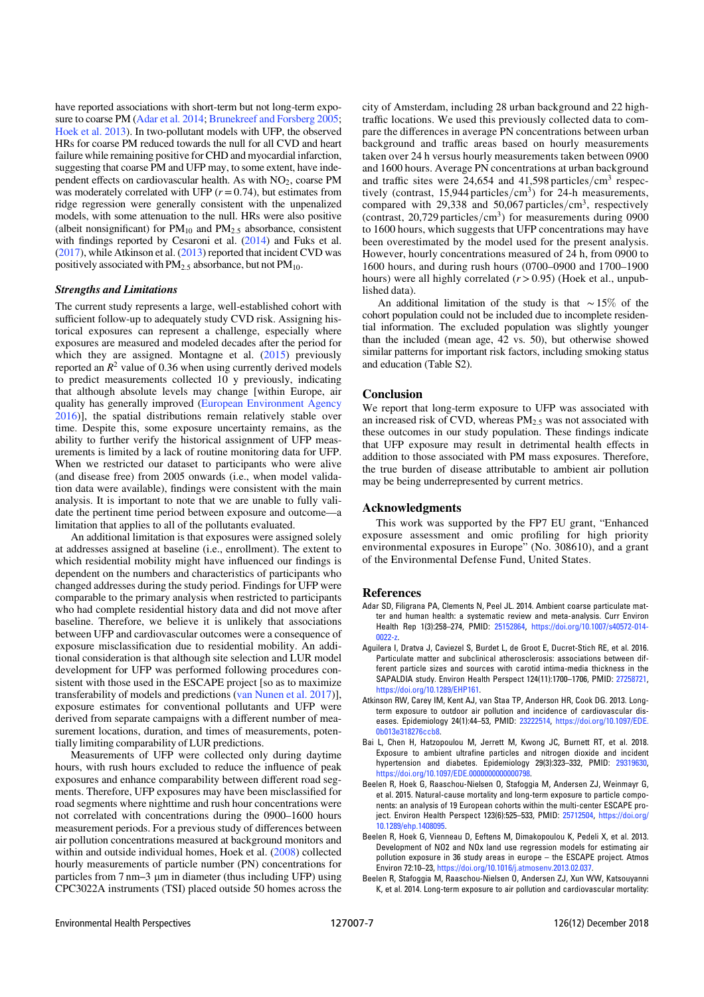have reported associations with short-term but not long-term exposure to coarse PM (Adar et al. 2014; Brunekreef and Forsberg 2005; Hoek et al. 2013). In two-pollutant models with UFP, the observed HRs for coarse PM reduced towards the null for all CVD and heart failure while remaining positive for CHD and myocardial infarction, suggesting that coarse PM and UFP may, to some extent, have independent effects on cardiovascular health. As with NO<sub>2</sub>, coarse PM was moderately correlated with UFP  $(r = 0.74)$ , but estimates from ridge regression were generally consistent with the unpenalized models, with some attenuation to the null. HRs were also positive (albeit nonsignificant) for  $PM_{10}$  and  $PM_{2.5}$  absorbance, consistent with findings reported by Cesaroni et al. (2014) and Fuks et al. (2017), while Atkinson et al. (2013) reported that incident CVD was positively associated with  $PM_{2.5}$  absorbance, but not  $PM_{10}$ .

#### Strengths and Limitations

The current study represents a large, well-established cohort with sufficient follow-up to adequately study CVD risk. Assigning historical exposures can represent a challenge, especially where exposures are measured and modeled decades after the period for which they are assigned. Montagne et al. (2015) previously reported an  $R^2$  value of 0.36 when using currently derived models to predict measurements collected 10 y previously, indicating that although absolute levels may change [within Europe, air quality has generally improved (European Environment Agency 2016)], the spatial distributions remain relatively stable over time. Despite this, some exposure uncertainty remains, as the ability to further verify the historical assignment of UFP measurements is limited by a lack of routine monitoring data for UFP. When we restricted our dataset to participants who were alive (and disease free) from 2005 onwards (i.e., when model validation data were available), findings were consistent with the main analysis. It is important to note that we are unable to fully validate the pertinent time period between exposure and outcome—a limitation that applies to all of the pollutants evaluated.

An additional limitation is that exposures were assigned solely at addresses assigned at baseline (i.e., enrollment). The extent to which residential mobility might have influenced our findings is dependent on the numbers and characteristics of participants who changed addresses during the study period. Findings for UFP were comparable to the primary analysis when restricted to participants who had complete residential history data and did not move after baseline. Therefore, we believe it is unlikely that associations between UFP and cardiovascular outcomes were a consequence of exposure misclassification due to residential mobility. An additional consideration is that although site selection and LUR model development for UFP was performed following procedures consistent with those used in the ESCAPE project [so as to maximize transferability of models and predictions (van Nunen et al. 2017)], exposure estimates for conventional pollutants and UFP were derived from separate campaigns with a different number of measurement locations, duration, and times of measurements, potentially limiting comparability of LUR predictions.

Measurements of UFP were collected only during daytime hours, with rush hours excluded to reduce the influence of peak exposures and enhance comparability between different road segments. Therefore, UFP exposures may have been misclassified for road segments where nighttime and rush hour concentrations were not correlated with concentrations during the 0900–1600 hours measurement periods. For a previous study of differences between air pollution concentrations measured at background monitors and within and outside individual homes, Hoek et al. (2008) collected hourly measurements of particle number (PN) concentrations for particles from  $7 \text{ nm}$ – $3 \mu$ m in diameter (thus including UFP) using CPC3022A instruments (TSI) placed outside 50 homes across the city of Amsterdam, including 28 urban background and 22 hightraffic locations. We used this previously collected data to compare the differences in average PN concentrations between urban background and traffic areas based on hourly measurements taken over 24 h versus hourly measurements taken between 0900 and 1600 hours. Average PN concentrations at urban background and traffic sites were  $24,654$  and  $41,598$  particles/cm<sup>3</sup> respectively (contrast, 15,944 particles/ $\rm cm^3$ ) for 24-h measurements, compared with 29,338 and 50,067 particles/cm<sup>3</sup>, respectively (contrast,  $20,729$  particles/cm<sup>3</sup>) for measurements during 0900 to 1600 hours, which suggests that UFP concentrations may have been overestimated by the model used for the present analysis. However, hourly concentrations measured of 24 h, from 0900 to 1600 hours, and during rush hours (0700–0900 and 1700–1900 hours) were all highly correlated  $(r > 0.95)$  (Hoek et al., unpublished data).

An additional limitation of the study is that ∼15% of the cohort population could not be included due to incomplete residential information. The excluded population was slightly younger than the included (mean age, 42 vs. 50), but otherwise showed similar patterns for important risk factors, including smoking status and education (Table S2).

### **Conclusion**

We report that long-term exposure to UFP was associated with an increased risk of CVD, whereas PM<sub>2.5</sub> was not associated with these outcomes in our study population. These findings indicate that UFP exposure may result in detrimental health effects in addition to those associated with PM mass exposures. Therefore, the true burden of disease attributable to ambient air pollution may be being underrepresented by current metrics.

#### Acknowledgments

This work was supported by the FP7 EU grant, "Enhanced exposure assessment and omic profiling for high priority environmental exposures in Europe" (No. 308610), and a grant of the Environmental Defense Fund, United States.

#### References

- Adar SD, Filigrana PA, Clements N, Peel JL. 2014. Ambient coarse particulate matter and human health: a systematic review and meta-analysis. Curr Environ Health Rep 1(3):258–274, PMID: 25152864, https://doi.org/10.1007/s40572-014- 0022-z.
- Aguilera I, Dratva J, Caviezel S, Burdet L, de Groot E, Ducret-Stich RE, et al. 2016. Particulate matter and subclinical atherosclerosis: associations between different particle sizes and sources with carotid intima-media thickness in the SAPALDIA study. Environ Health Perspect 124(11):1700–1706, PMID: 27258721, https://doi.org/10.1289/EHP161.
- Atkinson RW, Carey IM, Kent AJ, van Staa TP, Anderson HR, Cook DG. 2013. Longterm exposure to outdoor air pollution and incidence of cardiovascular diseases. Epidemiology 24(1):44–53, PMID: 23222514, https://doi.org/10.1097/EDE. 0b013e318276ccb8.
- Bai L, Chen H, Hatzopoulou M, Jerrett M, Kwong JC, Burnett RT, et al. 2018. Exposure to ambient ultrafine particles and nitrogen dioxide and incident hypertension and diabetes. Epidemiology 29(3):323–332, PMID: 29319630, https://doi.org/10.1097/EDE.0000000000000798.
- Beelen R, Hoek G, Raaschou-Nielsen O, Stafoggia M, Andersen ZJ, Weinmayr G, et al. 2015. Natural-cause mortality and long-term exposure to particle components: an analysis of 19 European cohorts within the multi-center ESCAPE project. Environ Health Perspect 123(6):525–533, PMID: 25712504, https://doi.org/ 10.1289/ehp.1408095.
- Beelen R, Hoek G, Vienneau D, Eeftens M, Dimakopoulou K, Pedeli X, et al. 2013. Development of NO2 and NOx land use regression models for estimating air pollution exposure in 36 study areas in europe – the ESCAPE project. Atmos Environ 72:10–23, https://doi.org/10.1016/j.atmosenv.2013.02.037.
- Beelen R, Stafoggia M, Raaschou-Nielsen O, Andersen ZJ, Xun WW, Katsouyanni K, et al. 2014. Long-term exposure to air pollution and cardiovascular mortality: